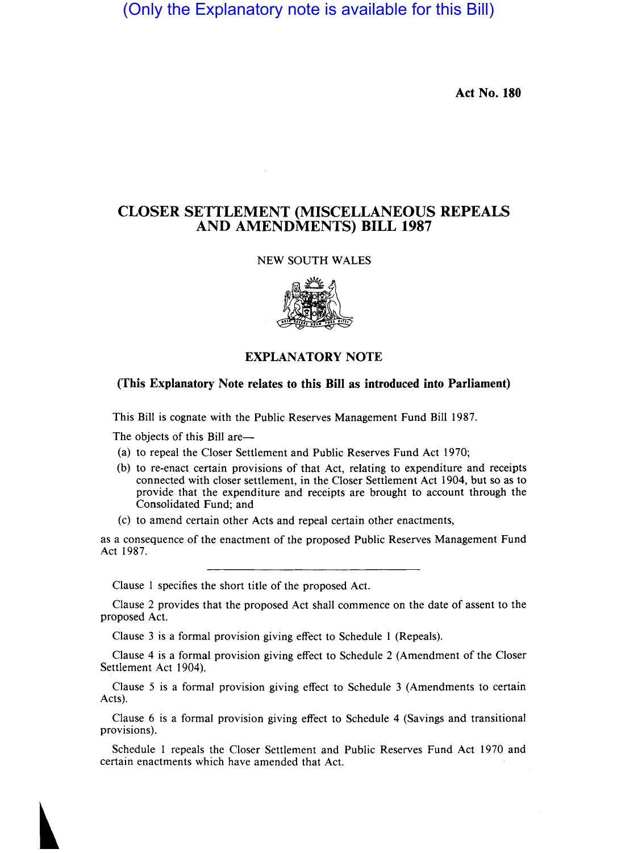(Only the Explanatory note is available for this Bill)

Act No. 180

## CLOSER SETTLEMENT (MISCELLANEOUS REPEALS AND AMENDMENTS) BILL 1987

## NEW SOUTH WALES



## EXPLANATORY NOTE

## (This Explanatory Note relates to this Bill as introduced into Parliament)

This Bill is cognate with the Public Reserves Management Fund Bill 1987.

The objects of this Bill are—

- (a) to repeal the Closer Settlement and Public Reserves Fund Act 1970;
- (b) to re-enact certain provisions of that Act, relating to expenditure and receipts connected with closer settlement, in the Closer Settlement Act 1904, but so as to provide that the expenditure and receipts are brought to account through the Consolidated Fund; and
- (c) to amend certain other Acts and repeal certain other enactments,

as a consequence of the enactment of the proposed Public Reserves Management Fund Act 1987.

Clause 1 specifies the short title of the proposed Act.

Clause 2 provides that the proposed Act shall commence on the date of assent to the proposed Act.

Clause 3 is a formal provision giving effect to Schedule 1 (Repeals).

Clause 4 is a formal provision giving effect to Schedule 2 (Amendment of the Closer Settlement Act 1904).

Clause 5 is a formal provision giving effect to Schedule 3 (Amendments to certain Acts).

Clause 6 is a formal provision giving effect to Schedule 4 (Savings and transitional provisions).

Schedule 1 repeals the Closer Settlement and Public Reserves Fund Act 1970 and certain enactments which have amended that Act.